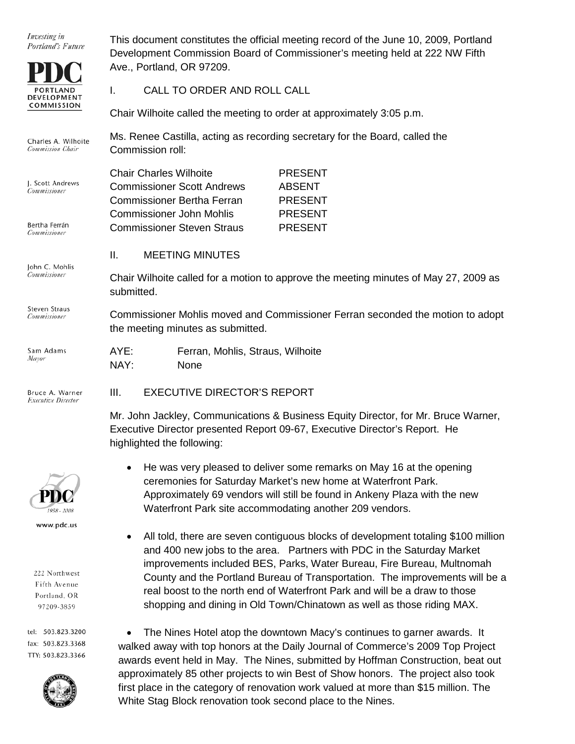Investing in Portland's Future



Charles A. Wilhoite **Commission Chair** 

J. Scott And Commissione

Bertha Ferr Commissioner

John C. Mohlis Commissioner

Steven Straus Commissioner

Sam Ada Mayor

Commissioner Mohlis moved and Commissioner Ferran seconded the motion to adopt the meeting minutes as submitted.

| ηs | AYE: | Ferran, Mohlis, Straus, Wilhoite |
|----|------|----------------------------------|
|    | NAY: | None                             |

Bruce A. Warner **Executive Director** 



www.pdc.us

222 Northwest Fifth Avenue Portland, OR 97209-3859

tel: 503.823.3200 fax: 503.823.3368 TTY: 503.823.3366



This document constitutes the official meeting record of the June 10, 2009, Portland Development Commission Board of Commissioner's meeting held at 222 NW Fifth Ave., Portland, OR 97209.

I. CALL TO ORDER AND ROLL CALL

Chair Wilhoite called the meeting to order at approximately 3:05 p.m.

Ms. Renee Castilla, acting as recording secretary for the Board, called the Commission roll:

|            | <b>Chair Charles Wilhoite</b>     | <b>PRESENT</b> |
|------------|-----------------------------------|----------------|
| drews<br>r | <b>Commissioner Scott Andrews</b> | <b>ABSENT</b>  |
|            | Commissioner Bertha Ferran        | <b>PRESENT</b> |
|            | <b>Commissioner John Mohlis</b>   | <b>PRESENT</b> |
| án         | <b>Commissioner Steven Straus</b> | <b>PRESENT</b> |

### II. MEETING MINUTES

Chair Wilhoite called for a motion to approve the meeting minutes of May 27, 2009 as submitted.

| AYE: | Ferran, Mohlis, Straus, Wilhoite |
|------|----------------------------------|
| NAY: | <b>None</b>                      |

# III. EXECUTIVE DIRECTOR'S REPORT

Mr. John Jackley, Communications & Business Equity Director, for Mr. Bruce Warner, Executive Director presented Report 09-67, Executive Director's Report. He highlighted the following:

- He was very pleased to deliver some remarks on May 16 at the opening ceremonies for Saturday Market's new home at Waterfront Park. Approximately 69 vendors will still be found in Ankeny Plaza with the new Waterfront Park site accommodating another 209 vendors.
- All told, there are seven contiguous blocks of development totaling \$100 million and 400 new jobs to the area. Partners with PDC in the Saturday Market improvements included BES, Parks, Water Bureau, Fire Bureau, Multnomah County and the Portland Bureau of Transportation. The improvements will be a real boost to the north end of Waterfront Park and will be a draw to those shopping and dining in Old Town/Chinatown as well as those riding MAX.

• The Nines Hotel atop the downtown Macy's continues to garner awards. It walked away with top honors at the Daily Journal of Commerce's 2009 Top Project awards event held in May. The Nines, submitted by Hoffman Construction, beat out approximately 85 other projects to win Best of Show honors. The project also took first place in the category of renovation work valued at more than \$15 million. The White Stag Block renovation took second place to the Nines.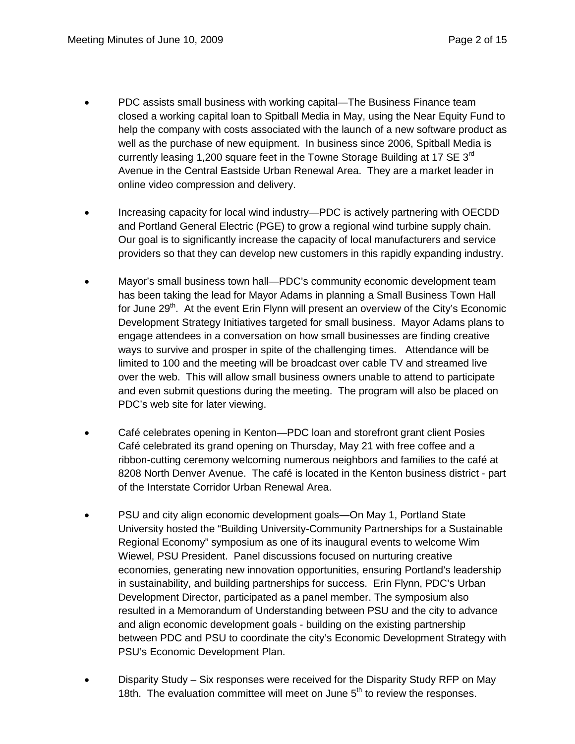- PDC assists small business with working capital—The Business Finance team closed a working capital loan to Spitball Media in May, using the Near Equity Fund to help the company with costs associated with the launch of a new software product as well as the purchase of new equipment. In business since 2006, Spitball Media is currently leasing 1,200 square feet in the Towne Storage Building at 17 SE  $3<sup>rd</sup>$ Avenue in the Central Eastside Urban Renewal Area. They are a market leader in online video compression and delivery.
- Increasing capacity for local wind industry—PDC is actively partnering with OECDD and Portland General Electric (PGE) to grow a regional wind turbine supply chain. Our goal is to significantly increase the capacity of local manufacturers and service providers so that they can develop new customers in this rapidly expanding industry.
- Mayor's small business town hall—PDC's community economic development team has been taking the lead for Mayor Adams in planning a Small Business Town Hall for June  $29<sup>th</sup>$ . At the event Erin Flynn will present an overview of the City's Economic Development Strategy Initiatives targeted for small business. Mayor Adams plans to engage attendees in a conversation on how small businesses are finding creative ways to survive and prosper in spite of the challenging times. Attendance will be limited to 100 and the meeting will be broadcast over cable TV and streamed live over the web. This will allow small business owners unable to attend to participate and even submit questions during the meeting. The program will also be placed on PDC's web site for later viewing.
- Café celebrates opening in Kenton—PDC loan and storefront grant client Posies Café celebrated its grand opening on Thursday, May 21 with free coffee and a ribbon-cutting ceremony welcoming numerous neighbors and families to the café at 8208 North Denver Avenue. The café is located in the Kenton business district - part of the Interstate Corridor Urban Renewal Area.
- PSU and city align economic development goals—On May 1, Portland State University hosted the "Building University-Community Partnerships for a Sustainable Regional Economy" symposium as one of its inaugural events to welcome Wim Wiewel, PSU President. Panel discussions focused on nurturing creative economies, generating new innovation opportunities, ensuring Portland's leadership in sustainability, and building partnerships for success. Erin Flynn, PDC's Urban Development Director, participated as a panel member. The symposium also resulted in a Memorandum of Understanding between PSU and the city to advance and align economic development goals - building on the existing partnership between PDC and PSU to coordinate the city's Economic Development Strategy with PSU's Economic Development Plan.
- Disparity Study Six responses were received for the Disparity Study RFP on May 18th. The evaluation committee will meet on June  $5<sup>th</sup>$  to review the responses.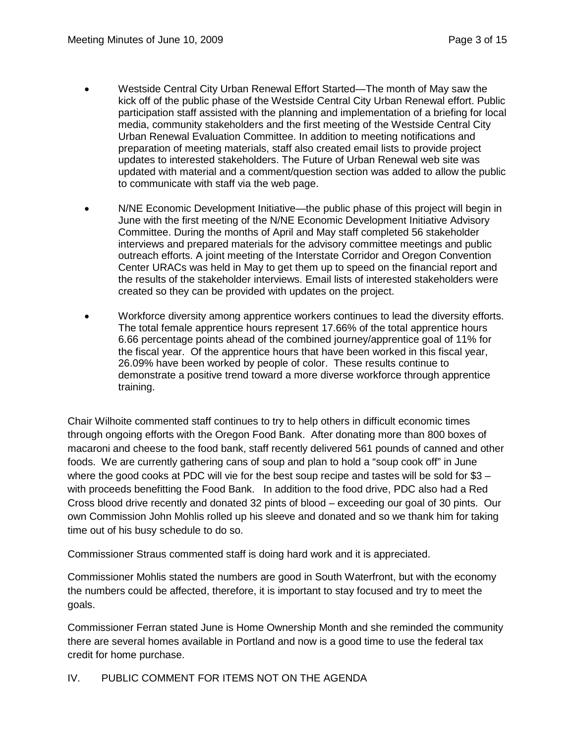- Westside Central City Urban Renewal Effort Started—The month of May saw the kick off of the public phase of the Westside Central City Urban Renewal effort. Public participation staff assisted with the planning and implementation of a briefing for local media, community stakeholders and the first meeting of the Westside Central City Urban Renewal Evaluation Committee. In addition to meeting notifications and preparation of meeting materials, staff also created email lists to provide project updates to interested stakeholders. The Future of Urban Renewal web site was updated with material and a comment/question section was added to allow the public to communicate with staff via the web page.
- N/NE Economic Development Initiative—the public phase of this project will begin in June with the first meeting of the N/NE Economic Development Initiative Advisory Committee. During the months of April and May staff completed 56 stakeholder interviews and prepared materials for the advisory committee meetings and public outreach efforts. A joint meeting of the Interstate Corridor and Oregon Convention Center URACs was held in May to get them up to speed on the financial report and the results of the stakeholder interviews. Email lists of interested stakeholders were created so they can be provided with updates on the project.
- Workforce diversity among apprentice workers continues to lead the diversity efforts. The total female apprentice hours represent 17.66% of the total apprentice hours 6.66 percentage points ahead of the combined journey/apprentice goal of 11% for the fiscal year. Of the apprentice hours that have been worked in this fiscal year, 26.09% have been worked by people of color. These results continue to demonstrate a positive trend toward a more diverse workforce through apprentice training.

Chair Wilhoite commented staff continues to try to help others in difficult economic times through ongoing efforts with the Oregon Food Bank. After donating more than 800 boxes of macaroni and cheese to the food bank, staff recently delivered 561 pounds of canned and other foods. We are currently gathering cans of soup and plan to hold a "soup cook off" in June where the good cooks at PDC will vie for the best soup recipe and tastes will be sold for \$3 – with proceeds benefitting the Food Bank. In addition to the food drive, PDC also had a Red Cross blood drive recently and donated 32 pints of blood – exceeding our goal of 30 pints. Our own Commission John Mohlis rolled up his sleeve and donated and so we thank him for taking time out of his busy schedule to do so.

Commissioner Straus commented staff is doing hard work and it is appreciated.

Commissioner Mohlis stated the numbers are good in South Waterfront, but with the economy the numbers could be affected, therefore, it is important to stay focused and try to meet the goals.

Commissioner Ferran stated June is Home Ownership Month and she reminded the community there are several homes available in Portland and now is a good time to use the federal tax credit for home purchase.

IV. PUBLIC COMMENT FOR ITEMS NOT ON THE AGENDA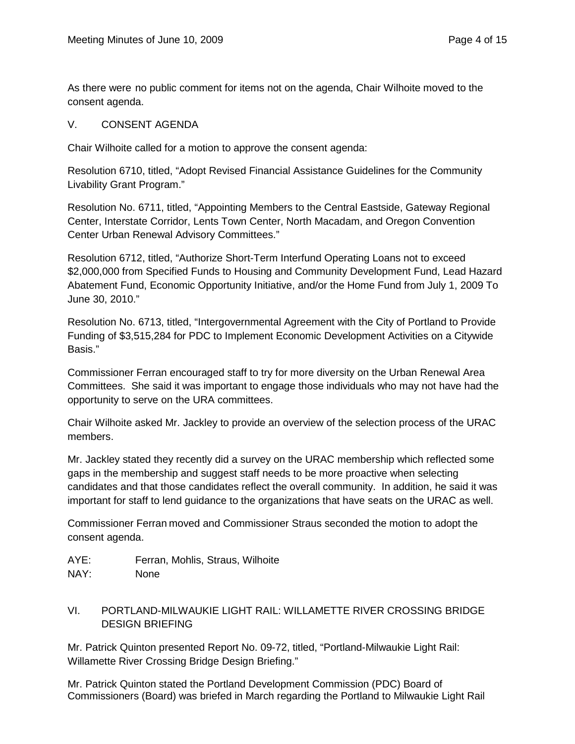As there were no public comment for items not on the agenda, Chair Wilhoite moved to the consent agenda.

#### V. CONSENT AGENDA

Chair Wilhoite called for a motion to approve the consent agenda:

Resolution 6710, titled, "Adopt Revised Financial Assistance Guidelines for the Community Livability Grant Program."

Resolution No. 6711, titled, "Appointing Members to the Central Eastside, Gateway Regional Center, Interstate Corridor, Lents Town Center, North Macadam, and Oregon Convention Center Urban Renewal Advisory Committees."

Resolution 6712, titled, "Authorize Short-Term Interfund Operating Loans not to exceed \$2,000,000 from Specified Funds to Housing and Community Development Fund, Lead Hazard Abatement Fund, Economic Opportunity Initiative, and/or the Home Fund from July 1, 2009 To June 30, 2010."

Resolution No. 6713, titled, "Intergovernmental Agreement with the City of Portland to Provide Funding of \$3,515,284 for PDC to Implement Economic Development Activities on a Citywide Basis."

Commissioner Ferran encouraged staff to try for more diversity on the Urban Renewal Area Committees. She said it was important to engage those individuals who may not have had the opportunity to serve on the URA committees.

Chair Wilhoite asked Mr. Jackley to provide an overview of the selection process of the URAC members.

Mr. Jackley stated they recently did a survey on the URAC membership which reflected some gaps in the membership and suggest staff needs to be more proactive when selecting candidates and that those candidates reflect the overall community. In addition, he said it was important for staff to lend guidance to the organizations that have seats on the URAC as well.

Commissioner Ferran moved and Commissioner Straus seconded the motion to adopt the consent agenda.

- AYE: Ferran, Mohlis, Straus, Wilhoite
- NAY: None
- VI. PORTLAND-MILWAUKIE LIGHT RAIL: WILLAMETTE RIVER CROSSING BRIDGE DESIGN BRIEFING

Mr. Patrick Quinton presented Report No. 09-72, titled, "Portland-Milwaukie Light Rail: Willamette River Crossing Bridge Design Briefing."

Mr. Patrick Quinton stated the Portland Development Commission (PDC) Board of Commissioners (Board) was briefed in March regarding the Portland to Milwaukie Light Rail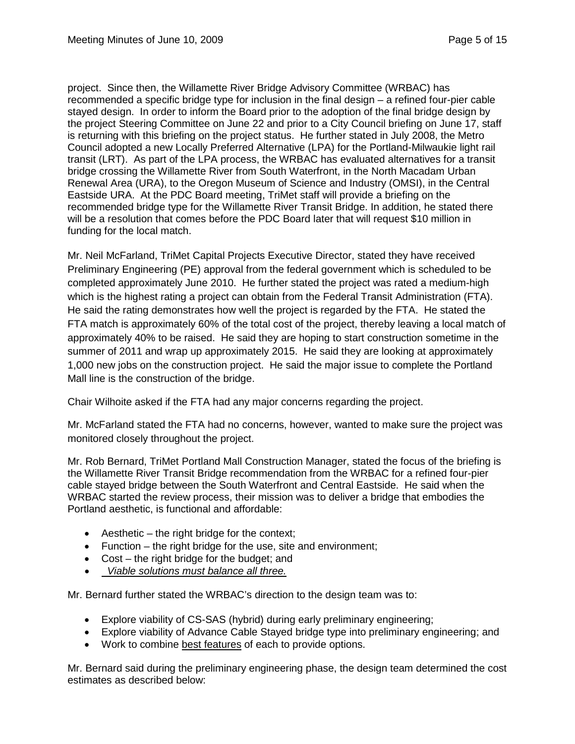project. Since then, the Willamette River Bridge Advisory Committee (WRBAC) has recommended a specific bridge type for inclusion in the final design – a refined four-pier cable stayed design. In order to inform the Board prior to the adoption of the final bridge design by the project Steering Committee on June 22 and prior to a City Council briefing on June 17, staff is returning with this briefing on the project status. He further stated in July 2008, the Metro Council adopted a new Locally Preferred Alternative (LPA) for the Portland-Milwaukie light rail transit (LRT). As part of the LPA process, the WRBAC has evaluated alternatives for a transit bridge crossing the Willamette River from South Waterfront, in the North Macadam Urban Renewal Area (URA), to the Oregon Museum of Science and Industry (OMSI), in the Central Eastside URA. At the PDC Board meeting, TriMet staff will provide a briefing on the recommended bridge type for the Willamette River Transit Bridge. In addition, he stated there will be a resolution that comes before the PDC Board later that will request \$10 million in funding for the local match.

Mr. Neil McFarland, TriMet Capital Projects Executive Director, stated they have received Preliminary Engineering (PE) approval from the federal government which is scheduled to be completed approximately June 2010. He further stated the project was rated a medium-high which is the highest rating a project can obtain from the Federal Transit Administration (FTA). He said the rating demonstrates how well the project is regarded by the FTA. He stated the FTA match is approximately 60% of the total cost of the project, thereby leaving a local match of approximately 40% to be raised. He said they are hoping to start construction sometime in the summer of 2011 and wrap up approximately 2015. He said they are looking at approximately 1,000 new jobs on the construction project. He said the major issue to complete the Portland Mall line is the construction of the bridge.

Chair Wilhoite asked if the FTA had any major concerns regarding the project.

Mr. McFarland stated the FTA had no concerns, however, wanted to make sure the project was monitored closely throughout the project.

Mr. Rob Bernard, TriMet Portland Mall Construction Manager, stated the focus of the briefing is the Willamette River Transit Bridge recommendation from the WRBAC for a refined four-pier cable stayed bridge between the South Waterfront and Central Eastside. He said when the WRBAC started the review process, their mission was to deliver a bridge that embodies the Portland aesthetic, is functional and affordable:

- $\bullet$  Aesthetic the right bridge for the context;
- Function the right bridge for the use, site and environment;
- Cost the right bridge for the budget; and
- • *Viable solutions must balance all three.*

Mr. Bernard further stated the WRBAC's direction to the design team was to:

- Explore viability of CS-SAS (hybrid) during early preliminary engineering;
- Explore viability of Advance Cable Stayed bridge type into preliminary engineering; and
- Work to combine best features of each to provide options.

Mr. Bernard said during the preliminary engineering phase, the design team determined the cost estimates as described below: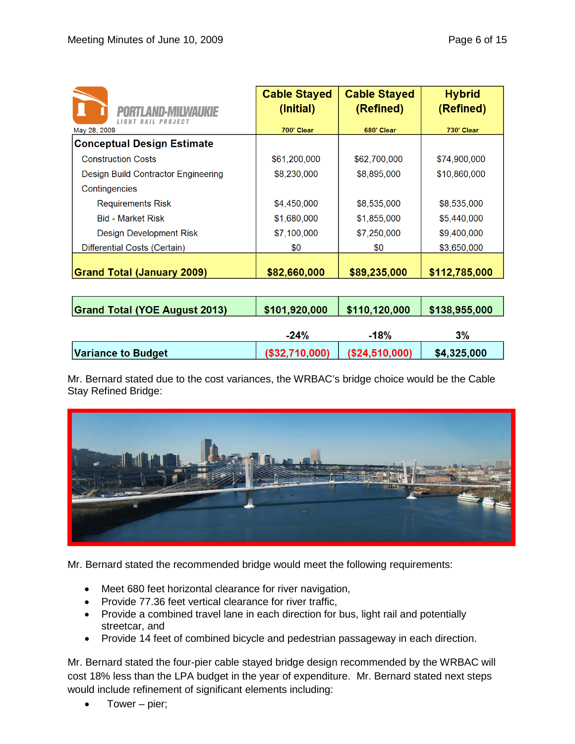| ITI ANN-MII WAHKIF<br>LIGHT RAIL PROJECT | <b>Cable Stayed</b><br>(Initial) | <b>Cable Stayed</b><br>(Refined) | <b>Hybrid</b><br>(Refined) |
|------------------------------------------|----------------------------------|----------------------------------|----------------------------|
| May 28, 2009                             | 700' Clear                       | 680' Clear                       | 730' Clear                 |
| <b>Conceptual Design Estimate</b>        |                                  |                                  |                            |
| <b>Construction Costs</b>                | \$61,200,000                     | \$62,700,000                     | \$74,900,000               |
| Design Build Contractor Engineering      | \$8,230,000                      | \$8,895,000                      | \$10,860,000               |
| Contingencies                            |                                  |                                  |                            |
| <b>Requirements Risk</b>                 | \$4,450,000                      | \$8,535,000                      | \$8,535,000                |
| <b>Bid - Market Risk</b>                 | \$1,680,000                      | \$1,855,000                      | \$5,440,000                |
| Design Development Risk                  | \$7,100,000                      | \$7,250,000                      | \$9,400,000                |
| Differential Costs (Certain)             | \$0                              | \$0                              | \$3,650,000                |
| <b>Grand Total (January 2009)</b>        | \$82,660,000                     | \$89,235,000                     | \$112,785,000              |

| <b>Grand Total (YOE August 2013)</b> | \$101,920,000  | \$110,120,000  | \$138,955,000 |
|--------------------------------------|----------------|----------------|---------------|
|                                      | $-24%$         | $-18%$         | 3%            |
| <b>Variance to Budget</b>            | (\$32,710,000) | (\$24,510,000) | \$4,325,000   |

Mr. Bernard stated due to the cost variances, the WRBAC's bridge choice would be the Cable Stay Refined Bridge:



Mr. Bernard stated the recommended bridge would meet the following requirements:

- Meet 680 feet horizontal clearance for river navigation,
- Provide 77.36 feet vertical clearance for river traffic,
- Provide a combined travel lane in each direction for bus, light rail and potentially streetcar, and
- Provide 14 feet of combined bicycle and pedestrian passageway in each direction.

Mr. Bernard stated the four-pier cable stayed bridge design recommended by the WRBAC will cost 18% less than the LPA budget in the year of expenditure. Mr. Bernard stated next steps would include refinement of significant elements including:

• Tower – pier;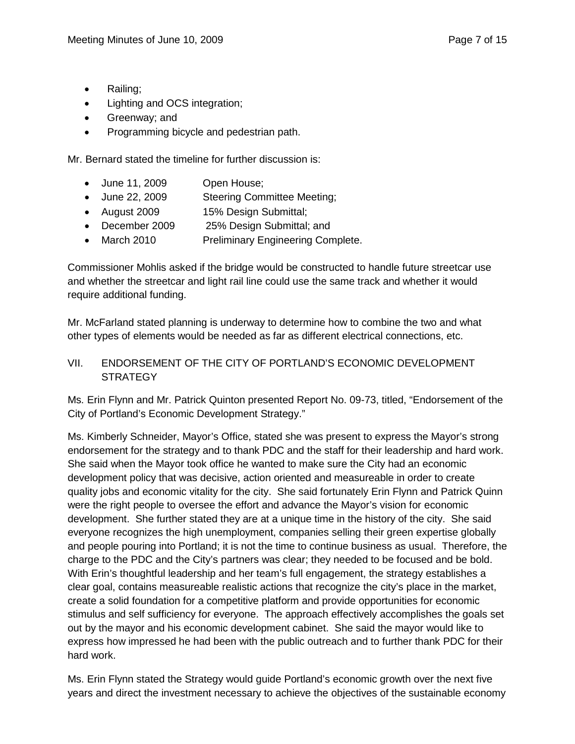- Railing;
- Lighting and OCS integration;
- Greenway; and
- Programming bicycle and pedestrian path.

Mr. Bernard stated the timeline for further discussion is:

- June 11, 2009 Open House;
- June 22, 2009 Steering Committee Meeting;
- August 2009 15% Design Submittal;
- December 2009 25% Design Submittal; and
- March 2010 Preliminary Engineering Complete.

Commissioner Mohlis asked if the bridge would be constructed to handle future streetcar use and whether the streetcar and light rail line could use the same track and whether it would require additional funding.

Mr. McFarland stated planning is underway to determine how to combine the two and what other types of elements would be needed as far as different electrical connections, etc.

#### VII. ENDORSEMENT OF THE CITY OF PORTLAND'S ECONOMIC DEVELOPMENT **STRATEGY**

Ms. Erin Flynn and Mr. Patrick Quinton presented Report No. 09-73, titled, "Endorsement of the City of Portland's Economic Development Strategy."

Ms. Kimberly Schneider, Mayor's Office, stated she was present to express the Mayor's strong endorsement for the strategy and to thank PDC and the staff for their leadership and hard work. She said when the Mayor took office he wanted to make sure the City had an economic development policy that was decisive, action oriented and measureable in order to create quality jobs and economic vitality for the city. She said fortunately Erin Flynn and Patrick Quinn were the right people to oversee the effort and advance the Mayor's vision for economic development. She further stated they are at a unique time in the history of the city. She said everyone recognizes the high unemployment, companies selling their green expertise globally and people pouring into Portland; it is not the time to continue business as usual. Therefore, the charge to the PDC and the City's partners was clear; they needed to be focused and be bold. With Erin's thoughtful leadership and her team's full engagement, the strategy establishes a clear goal, contains measureable realistic actions that recognize the city's place in the market, create a solid foundation for a competitive platform and provide opportunities for economic stimulus and self sufficiency for everyone. The approach effectively accomplishes the goals set out by the mayor and his economic development cabinet. She said the mayor would like to express how impressed he had been with the public outreach and to further thank PDC for their hard work.

Ms. Erin Flynn stated the Strategy would guide Portland's economic growth over the next five years and direct the investment necessary to achieve the objectives of the sustainable economy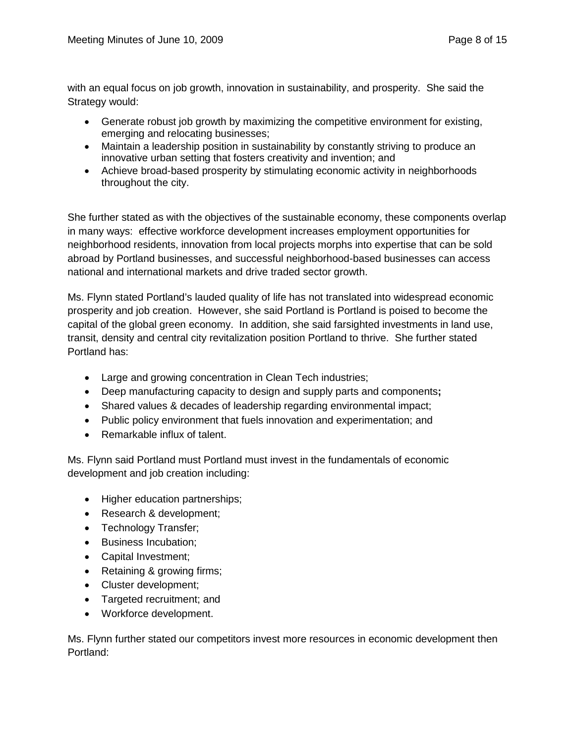with an equal focus on job growth, innovation in sustainability, and prosperity. She said the Strategy would:

- Generate robust job growth by maximizing the competitive environment for existing, emerging and relocating businesses;
- Maintain a leadership position in sustainability by constantly striving to produce an innovative urban setting that fosters creativity and invention; and
- Achieve broad-based prosperity by stimulating economic activity in neighborhoods throughout the city.

She further stated as with the objectives of the sustainable economy, these components overlap in many ways: effective workforce development increases employment opportunities for neighborhood residents, innovation from local projects morphs into expertise that can be sold abroad by Portland businesses, and successful neighborhood-based businesses can access national and international markets and drive traded sector growth.

Ms. Flynn stated Portland's lauded quality of life has not translated into widespread economic prosperity and job creation. However, she said Portland is Portland is poised to become the capital of the global green economy. In addition, she said farsighted investments in land use, transit, density and central city revitalization position Portland to thrive. She further stated Portland has:

- Large and growing concentration in Clean Tech industries;
- Deep manufacturing capacity to design and supply parts and components**;**
- Shared values & decades of leadership regarding environmental impact;
- Public policy environment that fuels innovation and experimentation; and
- Remarkable influx of talent.

Ms. Flynn said Portland must Portland must invest in the fundamentals of economic development and job creation including:

- Higher education partnerships;
- Research & development;
- Technology Transfer;
- Business Incubation;
- Capital Investment;
- Retaining & growing firms;
- Cluster development;
- Targeted recruitment; and
- Workforce development.

Ms. Flynn further stated our competitors invest more resources in economic development then Portland: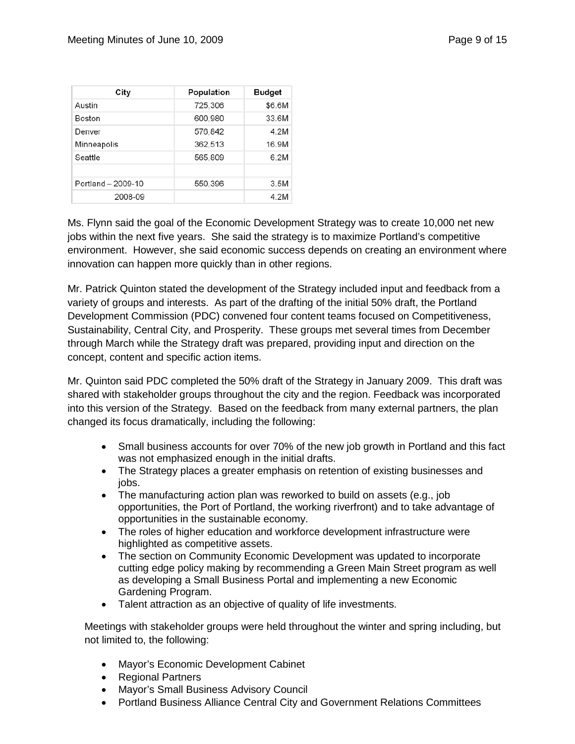| City               | Population | <b>Budget</b> |
|--------------------|------------|---------------|
| Austin             | 725,306    | \$6.6M        |
| Boston             | 600,980    | 33.6M         |
| Denver             | 576,842    | 4.2M          |
| Minneapolis        | 362,513    | 16.9M         |
| Seattle            | 565,809    | 6.2M          |
| Portland - 2009-10 | 550,396    | 3.5M          |
| 2008-09            |            | 4.2M          |

Ms. Flynn said the goal of the Economic Development Strategy was to create 10,000 net new jobs within the next five years. She said the strategy is to maximize Portland's competitive environment. However, she said economic success depends on creating an environment where innovation can happen more quickly than in other regions.

Mr. Patrick Quinton stated the development of the Strategy included input and feedback from a variety of groups and interests. As part of the drafting of the initial 50% draft, the Portland Development Commission (PDC) convened four content teams focused on Competitiveness, Sustainability, Central City, and Prosperity. These groups met several times from December through March while the Strategy draft was prepared, providing input and direction on the concept, content and specific action items.

Mr. Quinton said PDC completed the 50% draft of the Strategy in January 2009. This draft was shared with stakeholder groups throughout the city and the region. Feedback was incorporated into this version of the Strategy. Based on the feedback from many external partners, the plan changed its focus dramatically, including the following:

- Small business accounts for over 70% of the new job growth in Portland and this fact was not emphasized enough in the initial drafts.
- The Strategy places a greater emphasis on retention of existing businesses and jobs.
- The manufacturing action plan was reworked to build on assets (e.g., job opportunities, the Port of Portland, the working riverfront) and to take advantage of opportunities in the sustainable economy.
- The roles of higher education and workforce development infrastructure were highlighted as competitive assets.
- The section on Community Economic Development was updated to incorporate cutting edge policy making by recommending a Green Main Street program as well as developing a Small Business Portal and implementing a new Economic Gardening Program.
- Talent attraction as an objective of quality of life investments.

Meetings with stakeholder groups were held throughout the winter and spring including, but not limited to, the following:

- Mayor's Economic Development Cabinet
- Regional Partners
- Mayor's Small Business Advisory Council
- Portland Business Alliance Central City and Government Relations Committees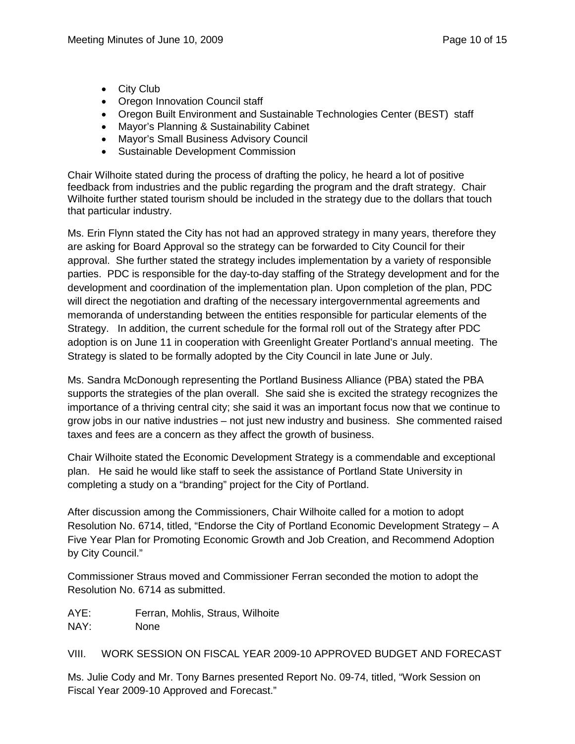- City Club
- Oregon Innovation Council staff
- Oregon Built Environment and Sustainable Technologies Center (BEST) staff
- Mayor's Planning & Sustainability Cabinet
- Mayor's Small Business Advisory Council
- Sustainable Development Commission

Chair Wilhoite stated during the process of drafting the policy, he heard a lot of positive feedback from industries and the public regarding the program and the draft strategy. Chair Wilhoite further stated tourism should be included in the strategy due to the dollars that touch that particular industry.

Ms. Erin Flynn stated the City has not had an approved strategy in many years, therefore they are asking for Board Approval so the strategy can be forwarded to City Council for their approval. She further stated the strategy includes implementation by a variety of responsible parties. PDC is responsible for the day-to-day staffing of the Strategy development and for the development and coordination of the implementation plan. Upon completion of the plan, PDC will direct the negotiation and drafting of the necessary intergovernmental agreements and memoranda of understanding between the entities responsible for particular elements of the Strategy. In addition, the current schedule for the formal roll out of the Strategy after PDC adoption is on June 11 in cooperation with Greenlight Greater Portland's annual meeting. The Strategy is slated to be formally adopted by the City Council in late June or July.

Ms. Sandra McDonough representing the Portland Business Alliance (PBA) stated the PBA supports the strategies of the plan overall. She said she is excited the strategy recognizes the importance of a thriving central city; she said it was an important focus now that we continue to grow jobs in our native industries – not just new industry and business. She commented raised taxes and fees are a concern as they affect the growth of business.

Chair Wilhoite stated the Economic Development Strategy is a commendable and exceptional plan. He said he would like staff to seek the assistance of Portland State University in completing a study on a "branding" project for the City of Portland.

After discussion among the Commissioners, Chair Wilhoite called for a motion to adopt Resolution No. 6714, titled, "Endorse the City of Portland Economic Development Strategy – A Five Year Plan for Promoting Economic Growth and Job Creation, and Recommend Adoption by City Council."

Commissioner Straus moved and Commissioner Ferran seconded the motion to adopt the Resolution No. 6714 as submitted.

AYE: Ferran, Mohlis, Straus, Wilhoite

NAY: None

VIII. WORK SESSION ON FISCAL YEAR 2009-10 APPROVED BUDGET AND FORECAST

Ms. Julie Cody and Mr. Tony Barnes presented Report No. 09-74, titled, "Work Session on Fiscal Year 2009-10 Approved and Forecast."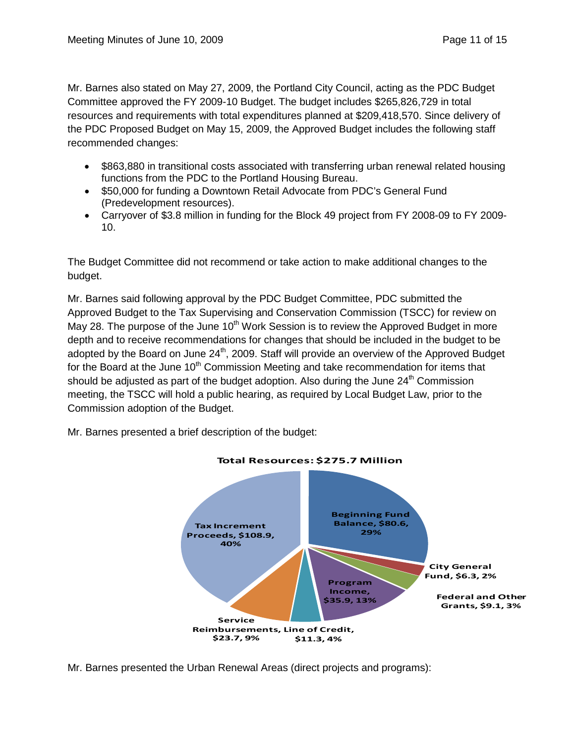Mr. Barnes also stated on May 27, 2009, the Portland City Council, acting as the PDC Budget Committee approved the FY 2009-10 Budget. The budget includes \$265,826,729 in total resources and requirements with total expenditures planned at \$209,418,570. Since delivery of the PDC Proposed Budget on May 15, 2009, the Approved Budget includes the following staff recommended changes:

- \$863,880 in transitional costs associated with transferring urban renewal related housing functions from the PDC to the Portland Housing Bureau.
- \$50,000 for funding a Downtown Retail Advocate from PDC's General Fund (Predevelopment resources).
- Carryover of \$3.8 million in funding for the Block 49 project from FY 2008-09 to FY 2009- 10.

The Budget Committee did not recommend or take action to make additional changes to the budget.

Mr. Barnes said following approval by the PDC Budget Committee, PDC submitted the Approved Budget to the Tax Supervising and Conservation Commission (TSCC) for review on May 28. The purpose of the June  $10<sup>th</sup>$  Work Session is to review the Approved Budget in more depth and to receive recommendations for changes that should be included in the budget to be adopted by the Board on June 24<sup>th</sup>, 2009. Staff will provide an overview of the Approved Budget for the Board at the June  $10<sup>th</sup>$  Commission Meeting and take recommendation for items that should be adjusted as part of the budget adoption. Also during the June  $24<sup>th</sup>$  Commission meeting, the TSCC will hold a public hearing, as required by Local Budget Law, prior to the Commission adoption of the Budget.

Mr. Barnes presented a brief description of the budget:



#### **Total Resources: \$275.7 Million**

Mr. Barnes presented the Urban Renewal Areas (direct projects and programs):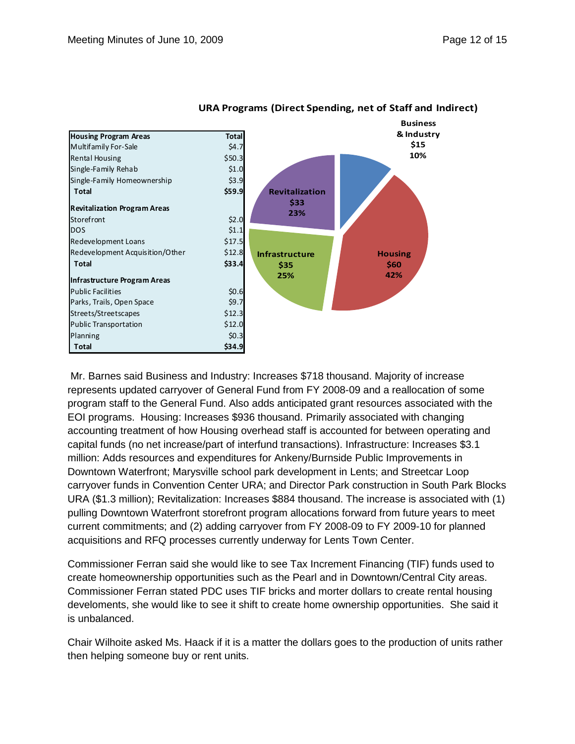

#### **URA Programs (Direct Spending, net of Staff and Indirect)**

Mr. Barnes said Business and Industry: Increases \$718 thousand. Majority of increase represents updated carryover of General Fund from FY 2008-09 and a reallocation of some program staff to the General Fund. Also adds anticipated grant resources associated with the EOI programs. Housing: Increases \$936 thousand. Primarily associated with changing accounting treatment of how Housing overhead staff is accounted for between operating and capital funds (no net increase/part of interfund transactions). Infrastructure: Increases \$3.1 million: Adds resources and expenditures for Ankeny/Burnside Public Improvements in Downtown Waterfront; Marysville school park development in Lents; and Streetcar Loop carryover funds in Convention Center URA; and Director Park construction in South Park Blocks URA (\$1.3 million); Revitalization: Increases \$884 thousand. The increase is associated with (1) pulling Downtown Waterfront storefront program allocations forward from future years to meet current commitments; and (2) adding carryover from FY 2008-09 to FY 2009-10 for planned acquisitions and RFQ processes currently underway for Lents Town Center.

Commissioner Ferran said she would like to see Tax Increment Financing (TIF) funds used to create homeownership opportunities such as the Pearl and in Downtown/Central City areas. Commissioner Ferran stated PDC uses TIF bricks and morter dollars to create rental housing develoments, she would like to see it shift to create home ownership opportunities. She said it is unbalanced.

Chair Wilhoite asked Ms. Haack if it is a matter the dollars goes to the production of units rather then helping someone buy or rent units.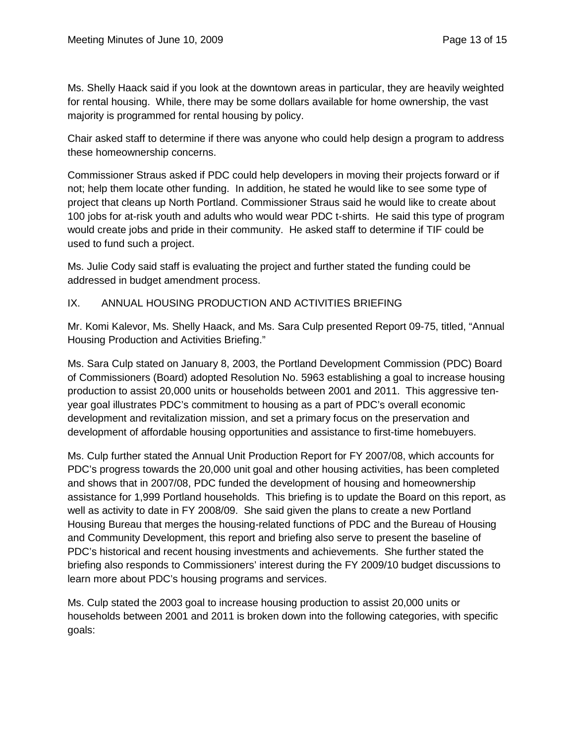Ms. Shelly Haack said if you look at the downtown areas in particular, they are heavily weighted for rental housing. While, there may be some dollars available for home ownership, the vast majority is programmed for rental housing by policy.

Chair asked staff to determine if there was anyone who could help design a program to address these homeownership concerns.

Commissioner Straus asked if PDC could help developers in moving their projects forward or if not; help them locate other funding. In addition, he stated he would like to see some type of project that cleans up North Portland. Commissioner Straus said he would like to create about 100 jobs for at-risk youth and adults who would wear PDC t-shirts. He said this type of program would create jobs and pride in their community. He asked staff to determine if TIF could be used to fund such a project.

Ms. Julie Cody said staff is evaluating the project and further stated the funding could be addressed in budget amendment process.

#### IX. ANNUAL HOUSING PRODUCTION AND ACTIVITIES BRIEFING

Mr. Komi Kalevor, Ms. Shelly Haack, and Ms. Sara Culp presented Report 09-75, titled, "Annual Housing Production and Activities Briefing."

Ms. Sara Culp stated on January 8, 2003, the Portland Development Commission (PDC) Board of Commissioners (Board) adopted Resolution No. 5963 establishing a goal to increase housing production to assist 20,000 units or households between 2001 and 2011. This aggressive tenyear goal illustrates PDC's commitment to housing as a part of PDC's overall economic development and revitalization mission, and set a primary focus on the preservation and development of affordable housing opportunities and assistance to first-time homebuyers.

Ms. Culp further stated the Annual Unit Production Report for FY 2007/08, which accounts for PDC's progress towards the 20,000 unit goal and other housing activities, has been completed and shows that in 2007/08, PDC funded the development of housing and homeownership assistance for 1,999 Portland households. This briefing is to update the Board on this report, as well as activity to date in FY 2008/09. She said given the plans to create a new Portland Housing Bureau that merges the housing-related functions of PDC and the Bureau of Housing and Community Development, this report and briefing also serve to present the baseline of PDC's historical and recent housing investments and achievements. She further stated the briefing also responds to Commissioners' interest during the FY 2009/10 budget discussions to learn more about PDC's housing programs and services.

Ms. Culp stated the 2003 goal to increase housing production to assist 20,000 units or households between 2001 and 2011 is broken down into the following categories, with specific goals: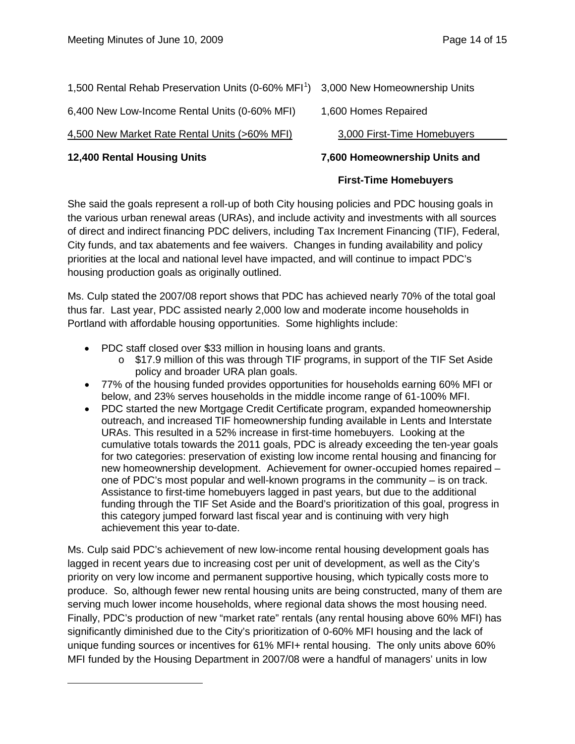| 1,500 Rental Rehab Preservation Units (0-60% MFI <sup>1</sup> ) 3,000 New Homeownership Units |  |
|-----------------------------------------------------------------------------------------------|--|
|                                                                                               |  |

6,400 New Low-Income Rental Units (0-60% MFI) 1,600 Homes Repaired

## 4,500 New Market Rate Rental Units (>60% MFI)

<span id="page-13-0"></span>ı

# 3,000 First-Time Homebuyers

# **12,400 Rental Housing Units 7,600 Homeownership Units and**

# **First-Time Homebuyers**

She said the goals represent a roll-up of both City housing policies and PDC housing goals in the various urban renewal areas (URAs), and include activity and investments with all sources of direct and indirect financing PDC delivers, including Tax Increment Financing (TIF), Federal, City funds, and tax abatements and fee waivers. Changes in funding availability and policy priorities at the local and national level have impacted, and will continue to impact PDC's housing production goals as originally outlined.

Ms. Culp stated the 2007/08 report shows that PDC has achieved nearly 70% of the total goal thus far. Last year, PDC assisted nearly 2,000 low and moderate income households in Portland with affordable housing opportunities. Some highlights include:

- PDC staff closed over \$33 million in housing loans and grants.
	- o \$17.9 million of this was through TIF programs, in support of the TIF Set Aside policy and broader URA plan goals.
- 77% of the housing funded provides opportunities for households earning 60% MFI or below, and 23% serves households in the middle income range of 61-100% MFI.
- PDC started the new Mortgage Credit Certificate program, expanded homeownership outreach, and increased TIF homeownership funding available in Lents and Interstate URAs. This resulted in a 52% increase in first-time homebuyers. Looking at the cumulative totals towards the 2011 goals, PDC is already exceeding the ten-year goals for two categories: preservation of existing low income rental housing and financing for new homeownership development. Achievement for owner-occupied homes repaired – one of PDC's most popular and well-known programs in the community – is on track. Assistance to first-time homebuyers lagged in past years, but due to the additional funding through the TIF Set Aside and the Board's prioritization of this goal, progress in this category jumped forward last fiscal year and is continuing with very high achievement this year to-date.

Ms. Culp said PDC's achievement of new low-income rental housing development goals has lagged in recent years due to increasing cost per unit of development, as well as the City's priority on very low income and permanent supportive housing, which typically costs more to produce. So, although fewer new rental housing units are being constructed, many of them are serving much lower income households, where regional data shows the most housing need. Finally, PDC's production of new "market rate" rentals (any rental housing above 60% MFI) has significantly diminished due to the City's prioritization of 0-60% MFI housing and the lack of unique funding sources or incentives for 61% MFI+ rental housing. The only units above 60% MFI funded by the Housing Department in 2007/08 were a handful of managers' units in low